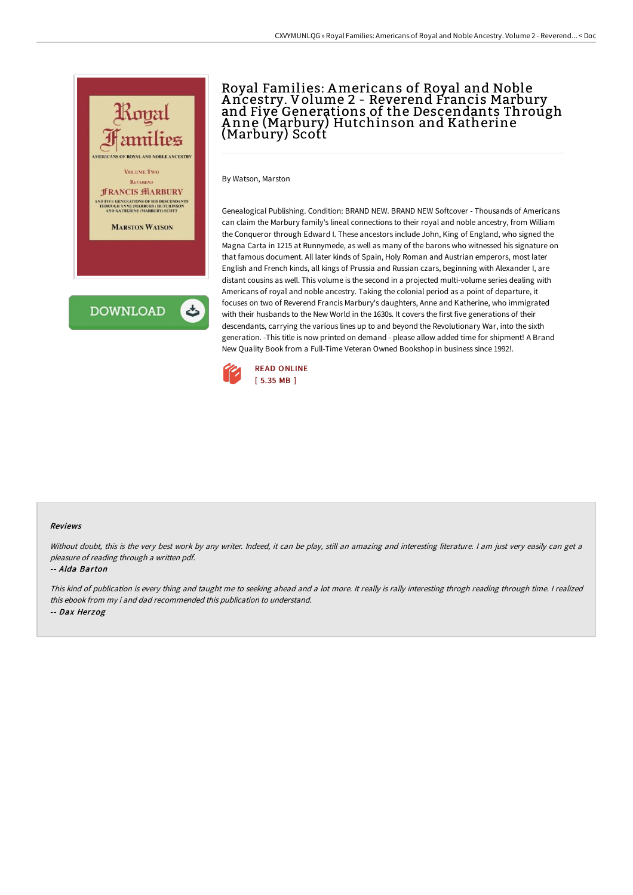

# Royal Families: Americans of Royal and Noble A ncestry. Volume 2 - Reverend Francis Marbury and Fiye Generations of the Descendants Through A nne (Marbury) Hutchinson and Katherine (Marbury) Scott

By Watson, Marston

Genealogical Publishing. Condition: BRAND NEW. BRAND NEW Softcover - Thousands of Americans can claim the Marbury family's lineal connections to their royal and noble ancestry, from William the Conqueror through Edward I. These ancestors include John, King of England, who signed the Magna Carta in 1215 at Runnymede, as well as many of the barons who witnessed his signature on that famous document. All later kinds of Spain, Holy Roman and Austrian emperors, most later English and French kinds, all kings of Prussia and Russian czars, beginning with Alexander I, are distant cousins as well. This volume is the second in a projected multi-volume series dealing with Americans of royal and noble ancestry. Taking the colonial period as a point of departure, it focuses on two of Reverend Francis Marbury's daughters, Anne and Katherine, who immigrated with their husbands to the New World in the 1630s. It covers the first five generations of their descendants, carrying the various lines up to and beyond the Revolutionary War, into the sixth generation. -This title is now printed on demand - please allow added time for shipment! A Brand New Quality Book from a Full-Time Veteran Owned Bookshop in business since 1992!.



#### Reviews

Without doubt, this is the very best work by any writer. Indeed, it can be play, still an amazing and interesting literature. I am just very easily can get a pleasure of reading through <sup>a</sup> written pdf.

#### -- Alda Barton

This kind of publication is every thing and taught me to seeking ahead and <sup>a</sup> lot more. It really is rally interesting throgh reading through time. <sup>I</sup> realized this ebook from my i and dad recommended this publication to understand. -- Dax Herzog